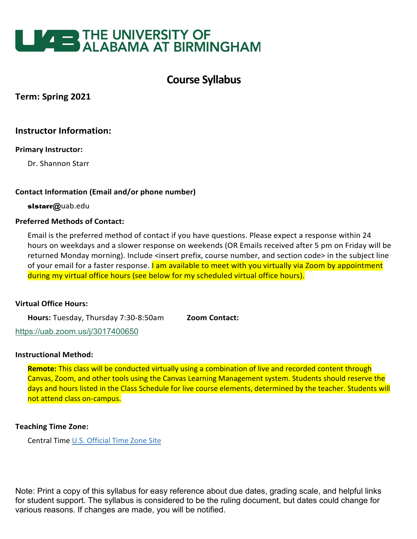

# **Course Syllabus**

# **Term: Spring 2021**

# **Instructor Information:**

### **Primary Instructor:**

Dr. Shannon Starr

### **Contact Information (Email and/or phone number)**

 *slstarr@*uab.edu

### **Preferred Methods of Contact:**

Email is the preferred method of contact if you have questions. Please expect a response within 24 hours on weekdays and a slower response on weekends (OR Emails received after 5 pm on Friday will be returned Monday morning). Include <insert prefix, course number, and section code> in the subject line of your email for a faster response. I am available to meet with you virtually via Zoom by appointment during my virtual office hours (see below for my scheduled virtual office hours).

### **Virtual Office Hours:**

**Hours:** Tuesday, Thursday 7:30-8:50am **Zoom Contact:**

<https://uab.zoom.us/j/3017400650>

### **Instructional Method:**

**Remote:** This class will be conducted virtually using a combination of live and recorded content through Canvas, Zoom, and other tools using the Canvas Learning Management system. Students should reserve the days and hours listed in the Class Schedule for live course elements, determined by the teacher. Students will not attend class on-campus.

## **Teaching Time Zone:**

Central Time [U.S. Official Time Zone Site](http://24timezones.com/us_clock/usa_time.php)

Note: Print a copy of this syllabus for easy reference about due dates, grading scale, and helpful links for student support. The syllabus is considered to be the ruling document, but dates could change for various reasons. If changes are made, you will be notified.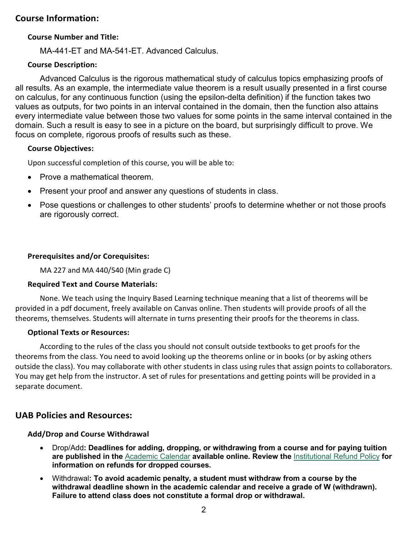# **Course Information:**

### **Course Number and Title:**

MA-441-ET and MA-541-ET. Advanced Calculus.

### **Course Description:**

Advanced Calculus is the rigorous mathematical study of calculus topics emphasizing proofs of all results. As an example, the intermediate value theorem is a result usually presented in a first course on calculus, for any continuous function (using the epsilon-delta definition) if the function takes two values as outputs, for two points in an interval contained in the domain, then the function also attains every intermediate value between those two values for some points in the same interval contained in the domain. Such a result is easy to see in a picture on the board, but surprisingly difficult to prove. We focus on complete, rigorous proofs of results such as these.

### **Course Objectives:**

Upon successful completion of this course, you will be able to:

- Prove a mathematical theorem.
- Present your proof and answer any questions of students in class.
- Pose questions or challenges to other students' proofs to determine whether or not those proofs are rigorously correct.

### **Prerequisites and/or Corequisites:**

MA 227 and MA 440/540 (Min grade C)

### **Required Text and Course Materials:**

None. We teach using the Inquiry Based Learning technique meaning that a list of theorems will be provided in a pdf document, freely available on Canvas online. Then students will provide proofs of all the theorems, themselves. Students will alternate in turns presenting their proofs for the theorems in class.

### **Optional Texts or Resources:**

According to the rules of the class you should not consult outside textbooks to get proofs for the theorems from the class. You need to avoid looking up the theorems online or in books (or by asking others outside the class). You may collaborate with other students in class using rules that assign points to collaborators. You may get help from the instructor. A set of rules for presentations and getting points will be provided in a separate document.

# **UAB Policies and Resources:**

## **Add/Drop and Course Withdrawal**

- Drop/Add**: Deadlines for adding, dropping, or withdrawing from a course and for paying tuition are published in the** [Academic Calendar](https://www.uab.edu/students/academics/academic-calendar) **available online. Review the** [Institutional Refund Policy](https://www.uab.edu/students/one-stop/policies/institutional-refund-policy) **for information on refunds for dropped courses.**
- Withdrawal**: To avoid academic penalty, a student must withdraw from a course by the withdrawal deadline shown in the academic calendar and receive a grade of W (withdrawn). Failure to attend class does not constitute a formal drop or withdrawal.**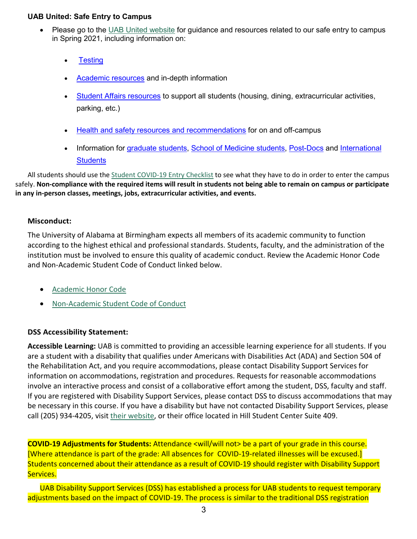### **UAB United: Safe Entry to Campus**

- Please go to the [UAB United website](https://www.uab.edu/uabunited/students) for guidance and resources related to our safe entry to campus in Spring 2021, including information on:
	- **[Testing](https://www.uab.edu/uabunited/students/testing)**
	- [Academic resources](https://www.uab.edu/uabunited/students/academics) and in-depth information
	- [Student Affairs resources](https://www.uab.edu/uabunited/students/student-affairs) to support all students (housing, dining, extracurricular activities, parking, etc.)
	- [Health and safety resources and recommendations](https://www.uab.edu/uabunited/students/health-safety) for on and off-campus
	- Information for [graduate students,](https://www.uab.edu/graduate/about/graduate-school-covid-19-updates) [School of Medicine students,](https://www.uab.edu/medicine/home/covid-19-updates) [Post-Docs](https://www.uab.edu/postdocs/covid-19) and International **[Students](https://www.uab.edu/global/about/programs-services/isss/faqs-concerning-recent-sevp-guidance-and-covid-19-planning)**

All students should use th[e Student COVID-19 Entry Checklist](https://www.uab.edu/uabunited/entry-checklists#student-checklist) to see what they have to do in order to enter the campus safely. **Non-compliance with the required items will result in students not being able to remain on campus or participate in any in-person classes, meetings, jobs, extracurricular activities, and events.**

## **Misconduct:**

The University of Alabama at Birmingham expects all members of its academic community to function according to the highest ethical and professional standards. Students, faculty, and the administration of the institution must be involved to ensure this quality of academic conduct. Review the Academic Honor Code and Non-Academic Student Code of Conduct linked below.

- [Academic Honor Code](http://www.uab.edu/students/one-stop/policies/academic-honor-code)
- [Non-Academic Student Code of Conduct](http://www.uab.edu/studentconduct)

## **DSS Accessibility Statement:**

**Accessible Learning:** UAB is committed to providing an accessible learning experience for all students. If you are a student with a disability that qualifies under Americans with Disabilities Act (ADA) and Section 504 of the Rehabilitation Act, and you require accommodations, please contact Disability Support Services for information on accommodations, registration and procedures. Requests for reasonable accommodations involve an interactive process and consist of a collaborative effort among the student, DSS, faculty and staff. If you are registered with Disability Support Services, please contact DSS to discuss accommodations that may be necessary in this course. If you have a disability but have not contacted Disability Support Services, please call (205) 934-4205, visit [their website,](http://www.uab.edu/dss) or their office located in Hill Student Center Suite 409.

**COVID-19 Adjustments for Students:** Attendance <will/will not> be a part of your grade in this course. [Where attendance is part of the grade: All absences for COVID-19-related illnesses will be excused.] Students concerned about their attendance as a result of COVID-19 should register with Disability Support Services.

UAB Disability Support Services (DSS) has established a process for UAB students to request temporary adjustments based on the impact of COVID-19. The process is similar to the traditional DSS registration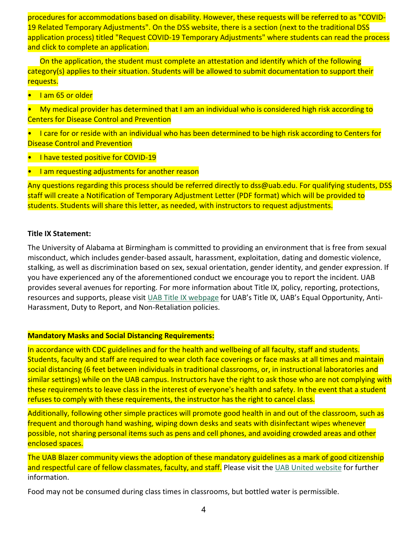procedures for accommodations based on disability. However, these requests will be referred to as "COVID-19 Related Temporary Adjustments". On the DSS website, there is a section (next to the traditional DSS application process) titled "Request COVID-19 Temporary Adjustments" where students can read the process and click to complete an application.

On the application, the student must complete an attestation and identify which of the following category(s) applies to their situation. Students will be allowed to submit documentation to support their requests.

• I am 65 or older

• My medical provider has determined that I am an individual who is considered high risk according to Centers for Disease Control and Prevention

• I care for or reside with an individual who has been determined to be high risk according to Centers for Disease Control and Prevention

- I have tested positive for COVID-19
- I am requesting adjustments for another reason

Any questions regarding this process should be referred directly to dss@uab.edu. For qualifying students, DSS staff will create a Notification of Temporary Adjustment Letter (PDF format) which will be provided to students. Students will share this letter, as needed, with instructors to request adjustments.

### **Title IX Statement:**

The University of Alabama at Birmingham is committed to providing an environment that is free from sexual misconduct, which includes gender-based assault, harassment, exploitation, dating and domestic violence, stalking, as well as discrimination based on sex, sexual orientation, gender identity, and gender expression. If you have experienced any of the aforementioned conduct we encourage you to report the incident. UAB provides several avenues for reporting. For more information about Title IX, policy, reporting, protections, resources and supports, please visi[t UAB Title IX webpage](http://www.uab.edu/titleix) for UAB's Title IX, UAB's Equal Opportunity, Anti-Harassment, Duty to Report, and Non-Retaliation policies.

### **Mandatory Masks and Social Distancing Requirements:**

In accordance with CDC guidelines and for the health and wellbeing of all faculty, staff and students. Students, faculty and staff are required to wear cloth face coverings or face masks at all times and maintain social distancing (6 feet between individuals in traditional classrooms, or, in instructional laboratories and similar settings) while on the UAB campus. Instructors have the right to ask those who are not complying with these requirements to leave class in the interest of everyone's health and safety. In the event that a student refuses to comply with these requirements, the instructor has the right to cancel class.

Additionally, following other simple practices will promote good health in and out of the classroom, such as frequent and thorough hand washing, wiping down desks and seats with disinfectant wipes whenever possible, not sharing personal items such as pens and cell phones, and avoiding crowded areas and other enclosed spaces.

The UAB Blazer community views the adoption of these mandatory guidelines as a mark of good citizenship and respectful care of fellow classmates, faculty, and staff. Please visit the [UAB United website](https://www.uab.edu/uabunited/students) for further information.

Food may not be consumed during class times in classrooms, but bottled water is permissible.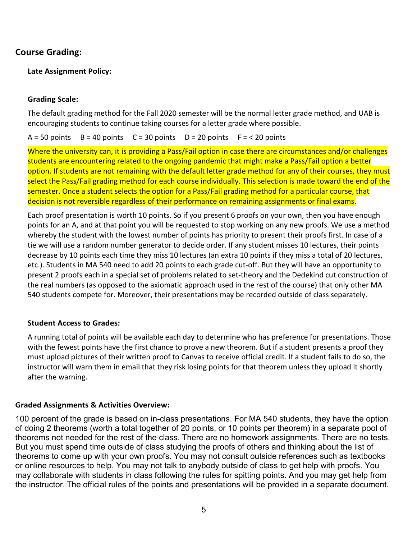# **Course Grading:**

## **Late Assignment Policy:**

### **Grading Scale:**

The default grading method for the Fall 2020 semester will be the normal letter grade method, and UAB is encouraging students to continue taking courses for a letter grade where possible.

 $A = 50$  points  $B = 40$  points  $C = 30$  points  $D = 20$  points  $F = 50$  points

Where the university can, it is providing a Pass/Fail option in case there are circumstances and/or challenges students are encountering related to the ongoing pandemic that might make a Pass/Fail option a better option. If students are not remaining with the default letter grade method for any of their courses, they must select the Pass/Fail grading method for each course individually. This selection is made toward the end of the semester. Once a student selects the option for a Pass/Fail grading method for a particular course, that decision is not reversible regardless of their performance on remaining assignments or final exams.

Each proof presentation is worth 10 points. So if you present 6 proofs on your own, then you have enough points for an A, and at that point you will be requested to stop working on any new proofs. We use a method whereby the student with the lowest number of points has priority to present their proofs first. In case of a tie we will use a random number generator to decide order. If any student misses 10 lectures, their points decrease by 10 points each time they miss 10 lectures (an extra 10 points if they miss a total of 20 lectures, etc.). Students in MA 540 need to add 20 points to each grade cut-off. But they will have an opportunity to present 2 proofs each in a special set of problems related to set-theory and the Dedekind cut construction of the real numbers (as opposed to the axiomatic approach used in the rest of the course) that only other MA 540 students compete for. Moreover, their presentations may be recorded outside of class separately.

### **Student Access to Grades:**

A running total of points will be available each day to determine who has preference for presentations. Those with the fewest points have the first chance to prove a new theorem. But if a student presents a proof they must upload pictures of their written proof to Canvas to receive official credit. If a student fails to do so, the instructor will warn them in email that they risk losing points for that theorem unless they upload it shortly after the warning.

## **Graded Assignments & Activities Overview:**

100 percent of the grade is based on in-class presentations. For MA 540 students, they have the option of doing 2 theorems (worth a total together of 20 points, or 10 points per theorem) in a separate pool of theorems not needed for the rest of the class. There are no homework assignments. There are no tests. But you must spend time outside of class studying the proofs of others and thinking about the list of theorems to come up with your own proofs. You may not consult outside references such as textbooks or online resources to help. You may not talk to anybody outside of class to get help with proofs. You may collaborate with students in class following the rules for spitting points. And you may get help from the instructor. The official rules of the points and presentations will be provided in a separate document.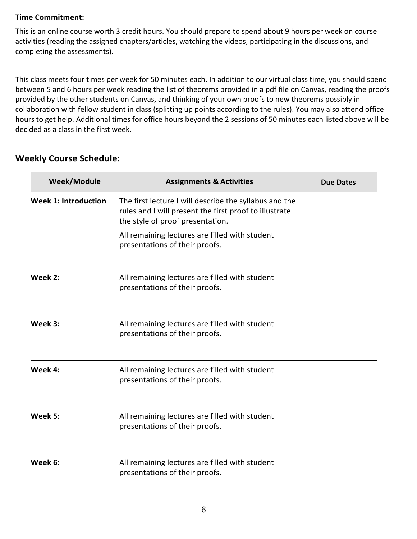# **Time Commitment:**

This is an online course worth 3 credit hours. You should prepare to spend about 9 hours per week on course activities (reading the assigned chapters/articles, watching the videos, participating in the discussions, and completing the assessments).

This class meets four times per week for 50 minutes each. In addition to our virtual class time, you should spend between 5 and 6 hours per week reading the list of theorems provided in a pdf file on Canvas, reading the proofs provided by the other students on Canvas, and thinking of your own proofs to new theorems possibly in collaboration with fellow student in class (splitting up points according to the rules). You may also attend office hours to get help. Additional times for office hours beyond the 2 sessions of 50 minutes each listed above will be decided as a class in the first week.

| <b>Weekly Course Schedule:</b> |  |
|--------------------------------|--|
|                                |  |

| <b>Week/Module</b>          | <b>Assignments &amp; Activities</b>                                                                                                                  | <b>Due Dates</b> |
|-----------------------------|------------------------------------------------------------------------------------------------------------------------------------------------------|------------------|
| <b>Week 1: Introduction</b> | The first lecture I will describe the syllabus and the<br>rules and I will present the first proof to illustrate<br>the style of proof presentation. |                  |
|                             | All remaining lectures are filled with student<br>presentations of their proofs.                                                                     |                  |
| Week 2:                     | All remaining lectures are filled with student<br>presentations of their proofs.                                                                     |                  |
| Week 3:                     | All remaining lectures are filled with student<br>presentations of their proofs.                                                                     |                  |
| Week 4:                     | All remaining lectures are filled with student<br>presentations of their proofs.                                                                     |                  |
| Week 5:                     | All remaining lectures are filled with student<br>presentations of their proofs.                                                                     |                  |
| Week 6:                     | All remaining lectures are filled with student<br>presentations of their proofs.                                                                     |                  |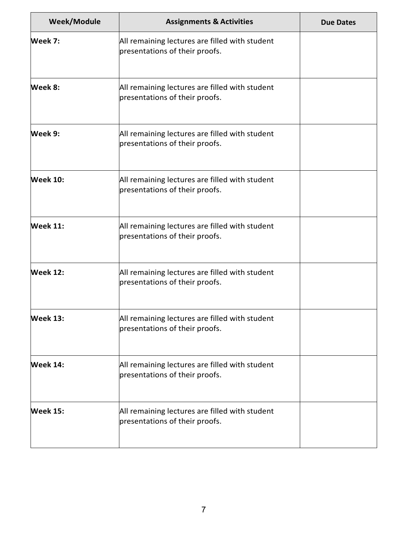| Week/Module     | <b>Assignments &amp; Activities</b>                                              | <b>Due Dates</b> |
|-----------------|----------------------------------------------------------------------------------|------------------|
| Week 7:         | All remaining lectures are filled with student<br>presentations of their proofs. |                  |
| Week 8:         | All remaining lectures are filled with student<br>presentations of their proofs. |                  |
| Week 9:         | All remaining lectures are filled with student<br>presentations of their proofs. |                  |
| <b>Week 10:</b> | All remaining lectures are filled with student<br>presentations of their proofs. |                  |
| <b>Week 11:</b> | All remaining lectures are filled with student<br>presentations of their proofs. |                  |
| <b>Week 12:</b> | All remaining lectures are filled with student<br>presentations of their proofs. |                  |
| Week 13:        | All remaining lectures are filled with student<br>presentations of their proofs. |                  |
| <b>Week 14:</b> | All remaining lectures are filled with student<br>presentations of their proofs. |                  |
| <b>Week 15:</b> | All remaining lectures are filled with student<br>presentations of their proofs. |                  |